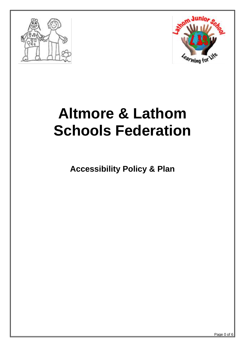



# **Altmore & Lathom Schools Federation**

**Accessibility Policy & Plan**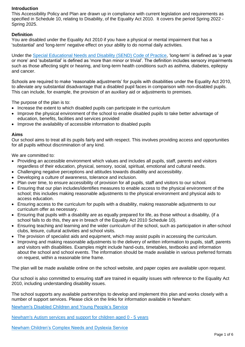## **Introduction**

This Accessibility Policy and Plan are drawn up in compliance with current legislation and requirements as specified in Schedule 10, relating to Disability, of the Equality Act 2010. It covers the period Spring 2022 - Spring 2025.

## **Definition**

You are disabled under the Equality Act 2010 if you have a physical or mental impairment that has a 'substantial' and 'long-term' negative effect on your ability to do normal daily activities.

Under the [Special Educational Needs and Disability \(SEND\) Code of Practice,](https://www.gov.uk/government/publications/send-code-of-practice-0-to-25) 'long-term' is defined as 'a year or more' and 'substantial' is defined as 'more than minor or trivial'. The definition includes sensory impairments such as those affecting sight or hearing, and long-term health conditions such as asthma, diabetes, epilepsy and cancer.

Schools are required to make 'reasonable adjustments' for pupils with disabilities under the Equality Act 2010, to alleviate any substantial disadvantage that a disabled pupil faces in comparison with non-disabled pupils. This can include, for example, the provision of an auxiliary aid or adjustments to premises.

The purpose of the plan is to:

- Increase the extent to which disabled pupils can participate in the curriculum
- Improve the physical environment of the school to enable disabled pupils to take better advantage of education, benefits, facilities and services provided
- Improve the availability of accessible information to disabled pupils

#### **Aims**

Our school aims to treat all its pupils fairly and with respect. This involves providing access and opportunities for all pupils without discrimination of any kind.

We are committed to:

- Providing an accessible environment which values and includes all pupils, staff, parents and visitors regardless of their education, physical, sensory, social, spiritual, emotional and cultural needs.
- Challenging negative perceptions and attitudes towards disability and accessibility.
- Developing a culture of awareness, tolerance and inclusion.
- Plan over time, to ensure accessibility of provision for all pupils, staff and visitors to our school.
- Ensuring that our plan includes/identifies measures to enable access to the physical environment of the school; this includes making reasonable adjustments to the physical environment and physical aids to access education.
- Ensuring access to the curriculum for pupils with a disability, making reasonable adjustments to our curriculum offer as necessary.
- Ensuring that pupils with a disability are as equally prepared for life, as those without a disability, (if a school fails to do this, they are in breach of the Equality Act 2010 Schedule 10).
- Ensuring teaching and learning and the wider curriculum of the school, such as participation in after-school clubs, leisure, cultural activities and school visits.
- The provision of specialist aids and equipment, which may assist pupils in accessing the curriculum.
- Improving and making reasonable adjustments to the delivery of written information to pupils, staff, parents and visitors with disabilities. Examples might include hand-outs, timetables, textbooks and information about the school and school events. The information should be made available in various preferred formats on request, within a reasonable time frame.

The plan will be made available online on the school website, and paper copies are available upon request.

Our school is also committed to ensuring staff are trained in equality issues with reference to the Equality Act 2010, including understanding disability issues.

The school supports any available partnerships to develop and implement this plan and works closely with a number of support services. Please click on the links for information available in Newham:

[Newham's Disabled Children and Young People's Service](https://families.newham.gov.uk/kb5/newham/directory/advice.page?id=jWQWo5inKt4) 

[Newham's Autism services and support for children aged 0 -](https://families.newham.gov.uk/kb5/newham/directory/advice.page?localofferchannel=2&id=hrGFFK8vIJE) 5 years

[Newham Children's Complex Needs and Dyslexia Service](https://families.newham.gov.uk/kb5/newham/directory/service.page?id=EoZHgnF9a0w)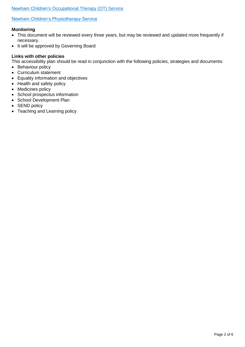## [Newham Children's Occupational Therapy \(OT\) Service](https://families.newham.gov.uk/kb5/newham/directory/service.page?id=gxM2nb6_UzA)

#### [Newham Children's Physiotherapy Service](https://families.newham.gov.uk/kb5/newham/directory/service.page?id=HQq-0ySVqwA)

#### **Monitoring**

- This document will be reviewed every three years, but may be reviewed and updated more frequently if necessary.
- It will be approved by Governing Board

#### **Links with other policies**

This accessibility plan should be read in conjunction with the following policies, strategies and documents:

- Behaviour policy
- Curriculum statement
- Equality information and objectives
- Health and safety policy
- Medicines policy
- School prospectus information
- School Development Plan
- SEND policy
- Teaching and Learning policy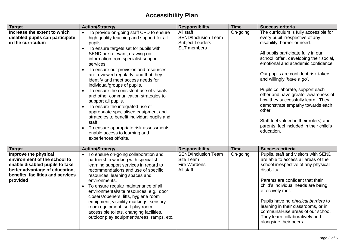# **Accessibility Plan**

| <b>Target</b>                                                                                                                                                             | <b>Action/Strategy</b>                                                                                                                                                                                                                                                                                                                                                                                                                                                                                                                                                                                                                                                                                                                    | <b>Responsibility</b>                                                                   | <b>Time</b> | <b>Success criteria</b>                                                                                                                                                                                                                                                                                                                                                                                                                                                                                                                                                  |
|---------------------------------------------------------------------------------------------------------------------------------------------------------------------------|-------------------------------------------------------------------------------------------------------------------------------------------------------------------------------------------------------------------------------------------------------------------------------------------------------------------------------------------------------------------------------------------------------------------------------------------------------------------------------------------------------------------------------------------------------------------------------------------------------------------------------------------------------------------------------------------------------------------------------------------|-----------------------------------------------------------------------------------------|-------------|--------------------------------------------------------------------------------------------------------------------------------------------------------------------------------------------------------------------------------------------------------------------------------------------------------------------------------------------------------------------------------------------------------------------------------------------------------------------------------------------------------------------------------------------------------------------------|
| Increase the extent to which<br>disabled pupils can participate<br>in the curriculum                                                                                      | To provide on-going staff CPD to ensure<br>high quality teaching and support for all<br>pupils.<br>To ensure targets set for pupils with<br>SEND are relevant, drawing on<br>information from specialist support<br>services.<br>To ensure our provision and resources<br>are reviewed regularly, and that they<br>identify and meet access needs for<br>individual/groups of pupils.<br>To ensure the consistent use of visuals<br>and other communication strategies to<br>support all pupils.<br>To ensure the integrated use of<br>appropriate specialised equipment and<br>strategies to benefit individual pupils and<br>staff.<br>To ensure appropriate risk assessments<br>enable access to learning and<br>experiences off-site. | All staff<br><b>SEND/Inclusion Team</b><br><b>Subject Leaders</b><br><b>SLT</b> members | On-going    | The curriculum is fully accessible for<br>every pupil irrespective of any<br>disability, barrier or need.<br>All pupils participate fully in our<br>school 'offer', developing their social,<br>emotional and academic confidence.<br>Our pupils are confident risk-takers<br>and willingly 'have a go'.<br>Pupils collaborate, support each<br>other and have greater awareness of<br>how they successfully learn. They<br>demonstrate empathy towards each<br>other.<br>Staff feel valued in their role(s) and<br>parents feel included in their child's<br>education. |
| <b>Target</b>                                                                                                                                                             | <b>Action/Strategy</b>                                                                                                                                                                                                                                                                                                                                                                                                                                                                                                                                                                                                                                                                                                                    | <b>Responsibility</b>                                                                   | <b>Time</b> | <b>Success criteria</b>                                                                                                                                                                                                                                                                                                                                                                                                                                                                                                                                                  |
| Improve the physical<br>environment of the school to<br>enable disabled pupils to take<br>better advantage of education,<br>benefits, facilities and services<br>provided | To ensure on-going collaboration and<br>partnership working with specialist<br>learning support services in regard to<br>recommendations and use of specific<br>resources, learning spaces and<br>environments.<br>To ensure regular maintenance of all<br>environmental/site resources, e.g., door<br>closers/openers, lifts, hygiene room<br>equipment, visibility markings, sensory<br>room equipment, soft play room,<br>accessible toilets, changing facilities,<br>outdoor play equipment/areas, ramps, etc.                                                                                                                                                                                                                        | <b>SEND/Inclusion Team</b><br>Site Team<br>Fire Wardens<br>All staff                    | On-going    | Pupils, staff and visitors with SEND<br>are able to access all areas of the<br>school irrespective of any physical<br>disability.<br>Parents are confident that their<br>child's individual needs are being<br>effectively met.<br>Pupils have no physical barriers to<br>learning in their classrooms, or in<br>communal-use areas of our school.<br>They learn collaboratively and<br>alongside their peers.                                                                                                                                                           |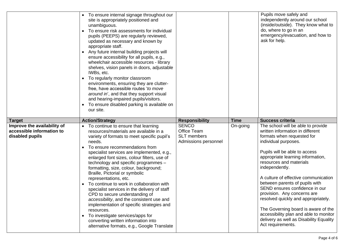|                                                                             | To ensure internal signage throughout our<br>site is appropriately positioned and<br>unambiguous.<br>To ensure risk assessments for individual<br>pupils (PEEPS) are regularly reviewed,<br>updated as necessary and known by<br>appropriate staff.<br>Any future internal building projects will<br>ensure accessibility for all pupils, e.g.,<br>wheelchair accessible resources - library<br>shelves, vision panels in doors, adjustable<br>IWBs, etc.<br>To regularly monitor classroom<br>$\bullet$<br>environments, ensuring they are clutter-<br>free, have accessible routes 'to move<br>around in', and that they support visual<br>and hearing-impaired pupils/visitors.<br>To ensure disabled parking is available on<br>our site.                                                   |                                                                           |             | Pupils move safely and<br>independently around our school<br>(inside/outside). They know what to<br>do, where to go in an<br>emergency/evacuation, and how to<br>ask for help.                                                                                                                                                                                                                                                                                                                                                                                                     |
|-----------------------------------------------------------------------------|-------------------------------------------------------------------------------------------------------------------------------------------------------------------------------------------------------------------------------------------------------------------------------------------------------------------------------------------------------------------------------------------------------------------------------------------------------------------------------------------------------------------------------------------------------------------------------------------------------------------------------------------------------------------------------------------------------------------------------------------------------------------------------------------------|---------------------------------------------------------------------------|-------------|------------------------------------------------------------------------------------------------------------------------------------------------------------------------------------------------------------------------------------------------------------------------------------------------------------------------------------------------------------------------------------------------------------------------------------------------------------------------------------------------------------------------------------------------------------------------------------|
| <b>Target</b>                                                               | <b>Action/Strategy</b>                                                                                                                                                                                                                                                                                                                                                                                                                                                                                                                                                                                                                                                                                                                                                                          | <b>Responsibility</b>                                                     | <b>Time</b> | <b>Success criteria</b>                                                                                                                                                                                                                                                                                                                                                                                                                                                                                                                                                            |
| Improve the availability of<br>accessible information to<br>disabled pupils | To continue to ensure that learning<br>resources/materials are available in a<br>variety of formats to meet specific pupil's<br>needs.<br>To ensure recommendations from<br>specialist services are implemented, e.g.,<br>enlarged font sizes, colour filters, use of<br>technology and specific programmes -<br>formatting, size, colour, background;<br>Braille, Pictorial or symbolic<br>representations, etc.<br>To continue to work in collaboration with<br>specialist services in the delivery of staff<br>CPD to secure understanding of<br>accessibility, and the consistent use and<br>implementation of specific strategies and<br>resources.<br>To investigate services/apps for<br>$\bullet$<br>converting written information into<br>alternative formats, e.g., Google Translate | <b>SENCO</b><br>Office Team<br><b>SLT</b> members<br>Admissions personnel | On-going    | The school will be able to provide<br>written information in different<br>formats when requested for<br>individual purposes.<br>Pupils will be able to access<br>appropriate learning information,<br>resources and materials<br>independently.<br>A culture of effective communication<br>between parents of pupils with<br>SEND ensures confidence in our<br>provision. Any concerns are<br>resolved quickly and appropriately.<br>The Governing board is aware of the<br>accessibility plan and able to monitor<br>delivery as well as Disability Equality<br>Act requirements. |